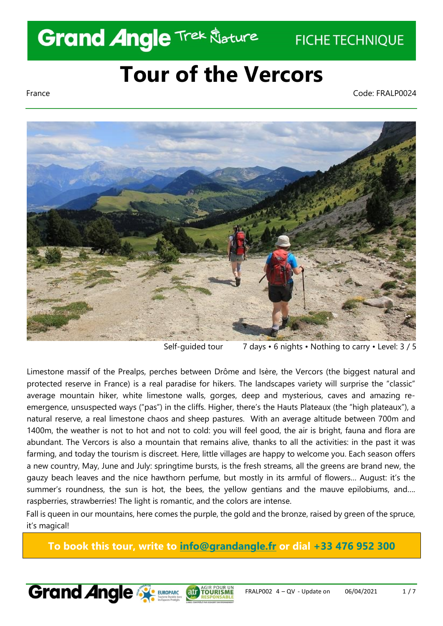## **Grand Angle Trek Klature**

**FICHE TECHNIQUE** 

## **Tour of the Vercors**

France Code: FRALP0024



Self-guided tour 7 days • 6 nights • Nothing to carry • Level: 3 / 5

Limestone massif of the Prealps, perches between Drôme and Isère, the Vercors (the biggest natural and protected reserve in France) is a real paradise for hikers. The landscapes variety will surprise the "classic" average mountain hiker, white limestone walls, gorges, deep and mysterious, caves and amazing reemergence, unsuspected ways ("pas") in the cliffs. Higher, there's the Hauts Plateaux (the "high plateaux"), a natural reserve, a real limestone chaos and sheep pastures. With an average altitude between 700m and 1400m, the weather is not to hot and not to cold: you will feel good, the air is bright, fauna and flora are abundant. The Vercors is also a mountain that remains alive, thanks to all the activities: in the past it was farming, and today the tourism is discreet. Here, little villages are happy to welcome you. Each season offers a new country, May, June and July: springtime bursts, is the fresh streams, all the greens are brand new, the gauzy beach leaves and the nice hawthorn perfume, but mostly in its armful of flowers… August: it's the summer's roundness, the sun is hot, the bees, the yellow gentians and the mauve epilobiums, and…. raspberries, strawberries! The light is romantic, and the colors are intense.

Fall is queen in our mountains, here comes the purple, the gold and the bronze, raised by green of the spruce, it's magical!

**To book this tour, write to [info@grandangle.fr](mailto:info@grandangle.fr) or dial +33 476 952 300**

atr TOURI

**Grand Angle Strukoparc**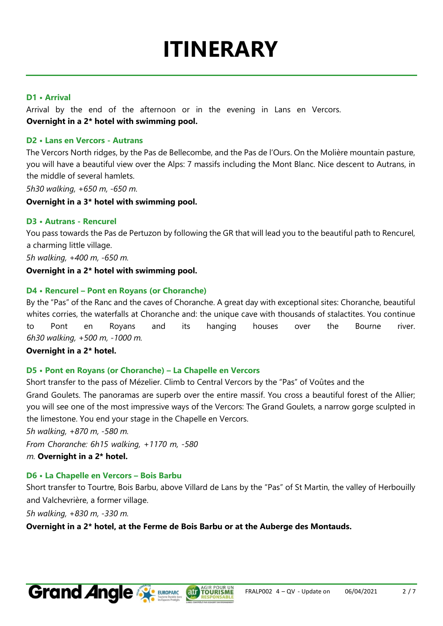# **ITINERARY**

#### **D1 • Arrival**

Arrival by the end of the afternoon or in the evening in Lans en Vercors. **Overnight in a 2\* hotel with swimming pool.** 

#### **D2 • Lans en Vercors - Autrans**

The Vercors North ridges, by the Pas de Bellecombe, and the Pas de l'Ours. On the Molière mountain pasture, you will have a beautiful view over the Alps: 7 massifs including the Mont Blanc. Nice descent to Autrans, in the middle of several hamlets.

*5h30 walking, +650 m, -650 m.* 

#### **Overnight in a 3\* hotel with swimming pool.**

#### **D3 • Autrans - Rencurel**

You pass towards the Pas de Pertuzon by following the GR that will lead you to the beautiful path to Rencurel, a charming little village.

*5h walking, +400 m, -650 m.* 

#### **Overnight in a 2\* hotel with swimming pool.**

#### **D4 • Rencurel – Pont en Royans (or Choranche)**

By the "Pas" of the Ranc and the caves of Choranche. A great day with exceptional sites: Choranche, beautiful whites corries, the waterfalls at Choranche and: the unique cave with thousands of stalactites. You continue to Pont en Royans and its hanging houses over the Bourne river. *6h30 walking, +500 m, -1000 m.* 

**Overnight in a 2\* hotel.** 

#### **D5 • Pont en Royans (or Choranche) – La Chapelle en Vercors**

Short transfer to the pass of Mézelier. Climb to Central Vercors by the "Pas" of Voûtes and the Grand Goulets. The panoramas are superb over the entire massif. You cross a beautiful forest of the Allier; you will see one of the most impressive ways of the Vercors: The Grand Goulets, a narrow gorge sculpted in the limestone. You end your stage in the Chapelle en Vercors.

*5h walking, +870 m, -580 m.* 

*From Choranche: 6h15 walking, +1170 m, -580*

*m.* **Overnight in a 2\* hotel.** 

#### **D6 • La Chapelle en Vercors – Bois Barbu**

Short transfer to Tourtre, Bois Barbu, above Villard de Lans by the "Pas" of St Martin, the valley of Herbouilly and Valchevrière, a former village.

**AUT TOURISME** 

*5h walking, +830 m, -330 m.* 

**Overnight in a 2\* hotel, at the Ferme de Bois Barbu or at the Auberge des Montauds.** 

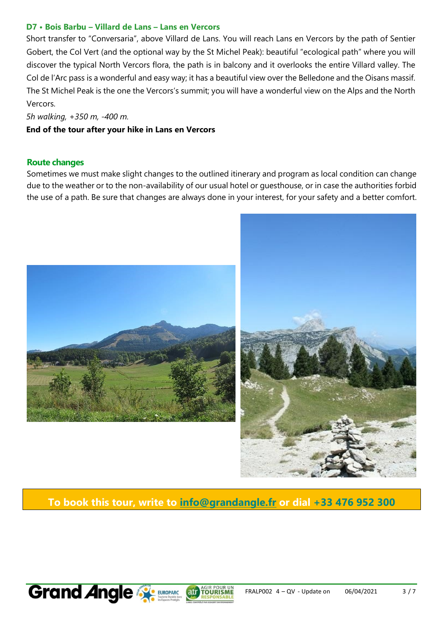#### **D7 • Bois Barbu – Villard de Lans – Lans en Vercors**

Short transfer to "Conversaria", above Villard de Lans. You will reach Lans en Vercors by the path of Sentier Gobert, the Col Vert (and the optional way by the St Michel Peak): beautiful "ecological path" where you will discover the typical North Vercors flora, the path is in balcony and it overlooks the entire Villard valley. The Col de l'Arc pass is a wonderful and easy way; it has a beautiful view over the Belledone and the Oisans massif. The St Michel Peak is the one the Vercors's summit; you will have a wonderful view on the Alps and the North Vercors.

*5h walking, +350 m, -400 m.* 

#### **End of the tour after your hike in Lans en Vercors**

#### **Route changes**

Sometimes we must make slight changes to the outlined itinerary and program as local condition can change due to the weather or to the non-availability of our usual hotel or guesthouse, or in case the authorities forbid the use of a path. Be sure that changes are always done in your interest, for your safety and a better comfort.





**To book this tour, write to [info@grandangle.fr](mailto:info@grandangle.fr) or dial +33 476 952 300**



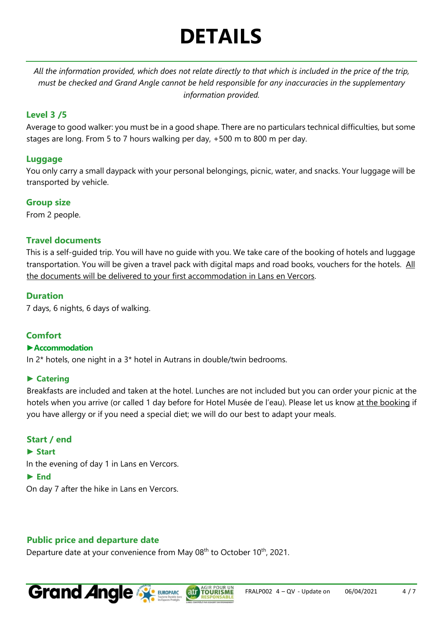## **DETAILS**

*All the information provided, which does not relate directly to that which is included in the price of the trip, must be checked and Grand Angle cannot be held responsible for any inaccuracies in the supplementary information provided.*

## **Level 3 /5**

Average to good walker: you must be in a good shape. There are no particulars technical difficulties, but some stages are long. From 5 to 7 hours walking per day, +500 m to 800 m per day.

## **Luggage**

You only carry a small daypack with your personal belongings, picnic, water, and snacks. Your luggage will be transported by vehicle.

## **Group size**

From 2 people.

## **Travel documents**

This is a self-guided trip. You will have no guide with you. We take care of the booking of hotels and luggage transportation. You will be given a travel pack with digital maps and road books, vouchers for the hotels. All the documents will be delivered to your first accommodation in Lans en Vercors.

## **Duration**

7 days, 6 nights, 6 days of walking.

## **Comfort**

#### **►Accommodation**

In 2\* hotels, one night in a 3\* hotel in Autrans in double/twin bedrooms.

## **► Catering**

Breakfasts are included and taken at the hotel. Lunches are not included but you can order your picnic at the hotels when you arrive (or called 1 day before for Hotel Musée de l'eau). Please let us know at the booking if you have allergy or if you need a special diet; we will do our best to adapt your meals.

## **Start / end**

#### **► Start**

In the evening of day 1 in Lans en Vercors.

#### **► End**

On day 7 after the hike in Lans en Vercors.

## **Public price and departure date**

Departure date at your convenience from May 08<sup>th</sup> to October 10<sup>th</sup>, 2021.

atr TOURIS

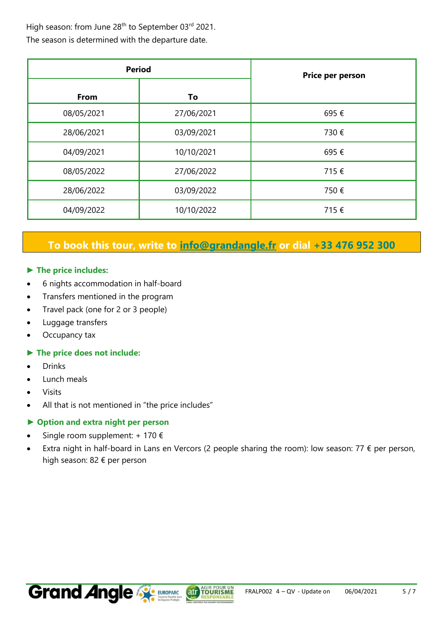High season: from June 28<sup>th</sup> to September 03<sup>rd</sup> 2021. The season is determined with the departure date.

| <b>Period</b> |            | Price per person |
|---------------|------------|------------------|
| From          | To         |                  |
| 08/05/2021    | 27/06/2021 | 695€             |
| 28/06/2021    | 03/09/2021 | 730€             |
| 04/09/2021    | 10/10/2021 | 695€             |
| 08/05/2022    | 27/06/2022 | 715€             |
| 28/06/2022    | 03/09/2022 | 750€             |
| 04/09/2022    | 10/10/2022 | 715€             |

## **To book this tour, write to [info@grandangle.fr](mailto:info@grandangle.fr) or dial +33 476 952 300**

#### **► The price includes:**

- 6 nights accommodation in half-board
- Transfers mentioned in the program
- Travel pack (one for 2 or 3 people)
- Luggage transfers
- Occupancy tax

#### **► The price does not include:**

- Drinks
- Lunch meals
- Visits
- All that is not mentioned in "the price includes"

#### **► Option and extra night per person**

- Single room supplement: + 170  $\epsilon$
- Extra night in half-board in Lans en Vercors (2 people sharing the room): low season: 77  $\epsilon$  per person, high season: 82 € per person

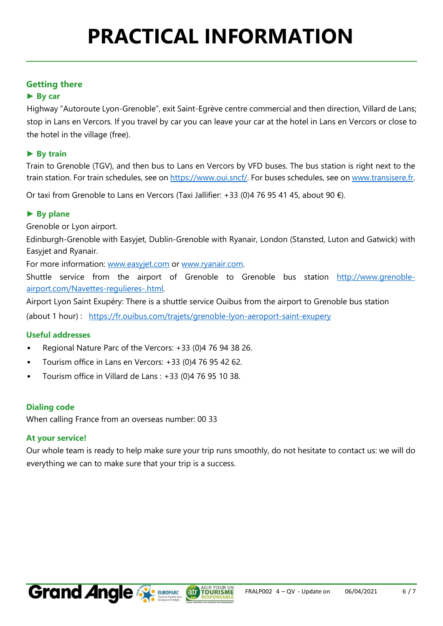## **Getting there**

### **► By car**

Highway "Autoroute Lyon-Grenoble", exit Saint-Egrève centre commercial and then direction, Villard de Lans; stop in Lans en Vercors. If you travel by car you can leave your car at the hotel in Lans en Vercors or close to the hotel in the village (free).

#### **► By train**

Train to Grenoble (TGV), and then bus to Lans en Vercors by VFD buses. The bus station is right next to the train station. For train schedules, see o[n https://www.oui.sncf/.](https://www.oui.sncf/) For buses schedules, see on www.transisere.fr.

Or taxi from Grenoble to Lans en Vercors (Taxi Jallifier: +33 (0)4 76 95 41 45, about 90  $\epsilon$ ).

#### **► By plane**

Grenoble or Lyon airport.

Edinburgh-Grenoble with Easyjet, Dublin-Grenoble with Ryanair, London (Stansted, Luton and Gatwick) with Easyjet and Ryanair.

For more information: [www.easyjet.com](http://www.easyjet.com/) or [www.ryanair.com.](http://www.ryanair.com/) 

Shuttle service from the airport of Grenoble to Grenoble bus station [http://www.grenoble](http://www.grenoble-airport.com/-Navettes-regulieres-.html)[airport.com/Navettes-regulieres-.html.](http://www.grenoble-airport.com/-Navettes-regulieres-.html)

Airport Lyon Saint Exupéry: There is a shuttle service Ouibus from the airport to Grenoble bus station (about 1 hour) : <https://fr.ouibus.com/trajets/grenoble-lyon-aeroport-saint-exupery>

#### **Useful addresses**

- Regional Nature Parc of the Vercors: +33 (0)4 76 94 38 26.
- Tourism office in Lans en Vercors: +33 (0)4 76 95 42 62.
- Tourism office in Villard de Lans : +33 (0)4 76 95 10 38.

#### **Dialing code**

When calling France from an overseas number: 00 33

#### **At your service!**

Our whole team is ready to help make sure your trip runs smoothly, do not hesitate to contact us: we will do everything we can to make sure that your trip is a success.

**AUT TOURISME**